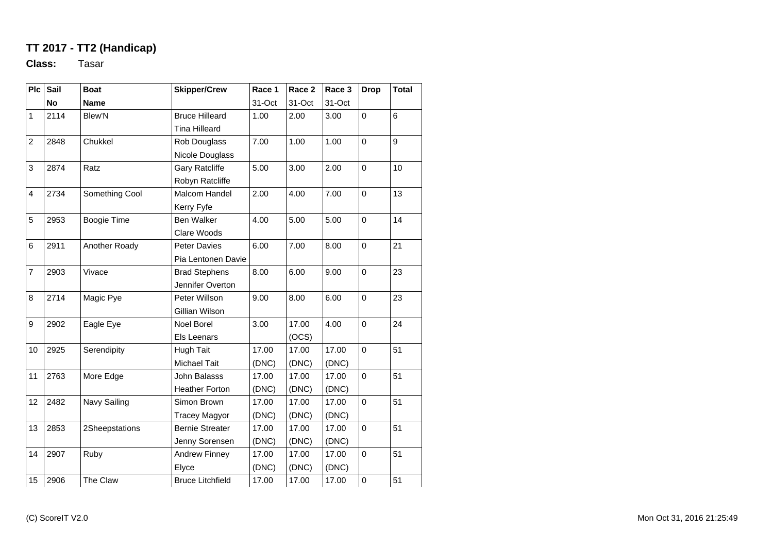## **TT 2017 - TT2 (Handicap)**

**Class:** Tasar

| P <sub>c</sub> | Sail      | <b>Boat</b>    | <b>Skipper/Crew</b>     | Race 1 | Race 2 | Race 3 | <b>Drop</b>    | <b>Total</b> |
|----------------|-----------|----------------|-------------------------|--------|--------|--------|----------------|--------------|
|                | <b>No</b> | <b>Name</b>    |                         | 31-Oct | 31-Oct | 31-Oct |                |              |
| 1              | 2114      | <b>Blew'N</b>  | <b>Bruce Hilleard</b>   | 1.00   | 2.00   | 3.00   | 0              | 6            |
|                |           |                | <b>Tina Hilleard</b>    |        |        |        |                |              |
| $\overline{c}$ | 2848      | Chukkel        | Rob Douglass            | 7.00   | 1.00   | 1.00   | $\mathbf 0$    | 9            |
|                |           |                | Nicole Douglass         |        |        |        |                |              |
| 3              | 2874      | Ratz           | <b>Gary Ratcliffe</b>   | 5.00   | 3.00   | 2.00   | $\mathbf 0$    | 10           |
|                |           |                | Robyn Ratcliffe         |        |        |        |                |              |
| $\overline{4}$ | 2734      | Something Cool | Malcom Handel           | 2.00   | 4.00   | 7.00   | 0              | 13           |
|                |           |                | Kerry Fyfe              |        |        |        |                |              |
| 5              | 2953      | Boogie Time    | Ben Walker              | 4.00   | 5.00   | 5.00   | $\mathbf 0$    | 14           |
|                |           |                | Clare Woods             |        |        |        |                |              |
| 6              | 2911      | Another Roady  | Peter Davies            | 6.00   | 7.00   | 8.00   | $\mathbf 0$    | 21           |
|                |           |                | Pia Lentonen Davie      |        |        |        |                |              |
| $\overline{7}$ | 2903      | Vivace         | <b>Brad Stephens</b>    | 8.00   | 6.00   | 9.00   | $\mathbf 0$    | 23           |
|                |           |                | Jennifer Overton        |        |        |        |                |              |
| 8              | 2714      | Magic Pye      | Peter Willson           | 9.00   | 8.00   | 6.00   | $\mathbf 0$    | 23           |
|                |           |                | Gillian Wilson          |        |        |        |                |              |
| 9              | 2902      | Eagle Eye      | <b>Noel Borel</b>       | 3.00   | 17.00  | 4.00   | $\mathbf 0$    | 24           |
|                |           |                | Els Leenars             |        | (OCS)  |        |                |              |
| 10             | 2925      | Serendipity    | <b>Hugh Tait</b>        | 17.00  | 17.00  | 17.00  | $\mathbf 0$    | 51           |
|                |           |                | Michael Tait            | (DNC)  | (DNC)  | (DNC)  |                |              |
| 11             | 2763      | More Edge      | John Balasss            | 17.00  | 17.00  | 17.00  | $\mathbf 0$    | 51           |
|                |           |                | <b>Heather Forton</b>   | (DNC)  | (DNC)  | (DNC)  |                |              |
| 12             | 2482      | Navy Sailing   | Simon Brown             | 17.00  | 17.00  | 17.00  | $\overline{0}$ | 51           |
|                |           |                | <b>Tracey Magyor</b>    | (DNC)  | (DNC)  | (DNC)  |                |              |
| 13             | 2853      | 2Sheepstations | <b>Bernie Streater</b>  | 17.00  | 17.00  | 17.00  | 0              | 51           |
|                |           |                | Jenny Sorensen          | (DNC)  | (DNC)  | (DNC)  |                |              |
| 14             | 2907      | Ruby           | <b>Andrew Finney</b>    | 17.00  | 17.00  | 17.00  | $\mathbf 0$    | 51           |
|                |           |                | Elyce                   | (DNC)  | (DNC)  | (DNC)  |                |              |
| 15             | 2906      | The Claw       | <b>Bruce Litchfield</b> | 17.00  | 17.00  | 17.00  | $\mathbf 0$    | 51           |